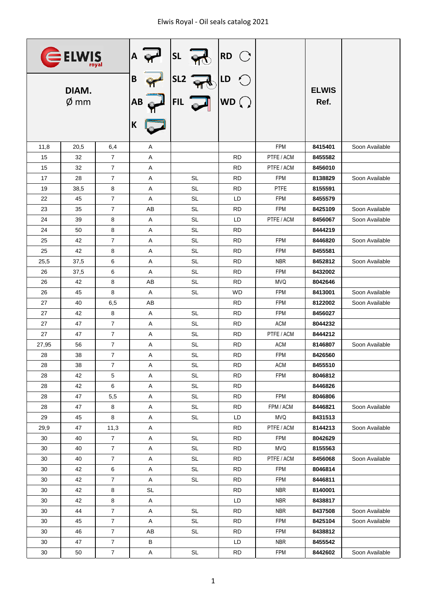| ELWI               |          |                  |              | <b>SL</b>                                   | <b>RD</b>              |                          |                      |                |
|--------------------|----------|------------------|--------------|---------------------------------------------|------------------------|--------------------------|----------------------|----------------|
| DIAM.<br>$\phi$ mm |          |                  | B<br>ΑВ<br>K | <u>SL2</u><br>FIL                           | LD<br><b>WD</b>        |                          | <b>ELWIS</b><br>Ref. |                |
| 11,8               | 20,5     | 6,4              | Α            |                                             |                        | <b>FPM</b>               | 8415401              | Soon Available |
| 15                 | 32       | $\overline{7}$   | Α            |                                             | <b>RD</b>              | PTFE / ACM               | 8455582              |                |
| 15                 | 32       | $\overline{7}$   | Α            |                                             | RD.                    | PTFE / ACM               | 8456010              |                |
| 17                 | 28       | $\overline{7}$   | Α            | <b>SL</b>                                   | <b>RD</b>              | <b>FPM</b>               | 8138829              | Soon Available |
| 19                 | 38,5     | 8                | Α            | <b>SL</b>                                   | RD.                    | <b>PTFE</b>              | 8155591              |                |
| 22                 | 45       | $\overline{7}$   | Α            | <b>SL</b>                                   | LD                     | <b>FPM</b>               | 8455579              |                |
| 23                 | 35       | $\overline{7}$   | AB           | <b>SL</b>                                   | <b>RD</b>              | <b>FPM</b>               | 8425109              | Soon Available |
| 24                 | 39       | 8                | Α            | <b>SL</b>                                   | LD                     | PTFE / ACM               | 8456067              | Soon Available |
| 24                 | 50       | 8                | Α            | <b>SL</b>                                   | RD.                    |                          | 8444219              |                |
| 25                 | 42       | $\overline{7}$   | Α            | <b>SL</b>                                   | <b>RD</b>              | <b>FPM</b>               | 8446820              | Soon Available |
| 25                 | 42       | 8                | Α            | <b>SL</b>                                   | <b>RD</b>              | <b>FPM</b>               | 8455581              |                |
| 25,5               | 37,5     | 6                | Α            | <b>SL</b>                                   | RD.                    | <b>NBR</b>               | 8452812              | Soon Available |
| 26                 | 37,5     | 6                | Α            | <b>SL</b>                                   | <b>RD</b>              | <b>FPM</b>               | 8432002              |                |
| 26                 | 42       | 8                | AB           | <b>SL</b>                                   | <b>RD</b>              | <b>MVQ</b>               | 8042646              |                |
| 26                 | 45       | 8                | Α            | <b>SL</b>                                   | <b>WD</b>              | <b>FPM</b>               | 8413001              | Soon Available |
| 27                 | 40       | 6,5              | AB           |                                             | RD.                    | <b>FPM</b>               | 8122002              | Soon Available |
| 27                 | 42       | 8                | Α            | <b>SL</b>                                   | <b>RD</b>              | <b>FPM</b>               | 8456027              |                |
| 27                 | 47       | $\overline{7}$   | Α            | <b>SL</b>                                   | RD.                    | <b>ACM</b>               | 8044232              |                |
| 27                 | 47       | $\overline{7}$   | Α            | <b>SL</b>                                   | <b>RD</b>              | PTFE / ACM               | 8444212              |                |
| 27,95              | 56       | $\overline{7}$   | Α            | <b>SL</b>                                   | RD.                    | <b>ACM</b>               | 8146807              | Soon Available |
| 28                 | 38       | $\overline{7}$   | Α            | <b>SL</b>                                   | <b>RD</b>              | <b>FPM</b>               | 8426560              |                |
| 28                 | 38       | $\overline{7}$   | Α            | SL                                          | <b>RD</b>              | <b>ACM</b>               | 8455510              |                |
| 28                 | 42       | 5                | A            | <b>SL</b>                                   | <b>RD</b>              | <b>FPM</b>               | 8046812              |                |
| 28                 | 42       | 6                | A            | SL                                          | RD.                    |                          | 8446826              |                |
| 28                 | 47       | 5,5              | A            | <b>SL</b>                                   | <b>RD</b><br><b>RD</b> | FPM                      | 8046806              |                |
| 28                 | 47       | 8<br>8           | A            | SL                                          |                        | FPM / ACM                | 8446821              | Soon Available |
| 29<br>29,9         | 45<br>47 | 11,3             | A<br>Α       | SL                                          | LD<br><b>RD</b>        | <b>MVQ</b><br>PTFE / ACM | 8431513<br>8144213   | Soon Available |
| 30                 | 40       | $\overline{7}$   | Α            | SL                                          | <b>RD</b>              | <b>FPM</b>               | 8042629              |                |
| 30                 | 40       | $\overline{7}$   | Α            | <b>SL</b>                                   | <b>RD</b>              | <b>MVQ</b>               | 8155563              |                |
| 30                 | 40       | $\boldsymbol{7}$ | A            | SL                                          | <b>RD</b>              | PTFE / ACM               | 8456068              | Soon Available |
| 30                 | 42       | 6                | A            | <b>SL</b>                                   | <b>RD</b>              | <b>FPM</b>               | 8046814              |                |
| 30                 | 42       | $\overline{7}$   | Α            | SL                                          | <b>RD</b>              | <b>FPM</b>               | 8446811              |                |
| 30                 | 42       | 8                | <b>SL</b>    |                                             | <b>RD</b>              | <b>NBR</b>               | 8140001              |                |
| 30                 | 42       | 8                | Α            |                                             | LD                     | <b>NBR</b>               | 8438817              |                |
| 30                 | 44       | $\overline{7}$   | Α            | SL                                          | <b>RD</b>              | <b>NBR</b>               | 8437508              | Soon Available |
| 30                 | 45       | $\overline{7}$   | A            | SL                                          | RD.                    | FPM                      | 8425104              | Soon Available |
| 30                 | 46       | $\overline{7}$   | AB           | SL                                          | <b>RD</b>              | <b>FPM</b>               | 8438812              |                |
| 30                 | 47       | $\overline{7}$   | B            |                                             | LD                     | <b>NBR</b>               | 8455542              |                |
| 30                 | 50       | $\boldsymbol{7}$ | A            | $\mathsf{SL}% _{2}\left( \mathbb{Z}\right)$ | <b>RD</b>              | <b>FPM</b>               | 8442602              | Soon Available |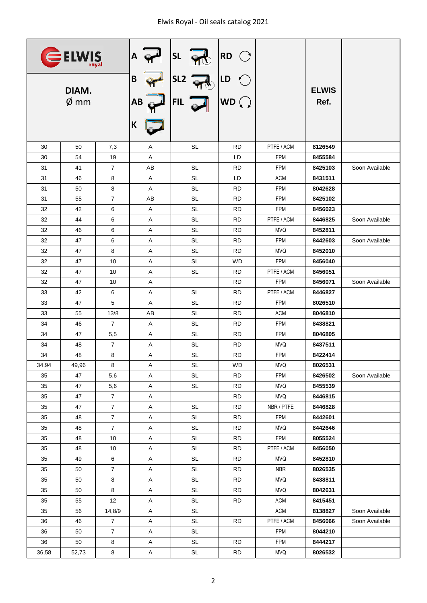| $\epsilon$ ELWIS<br>royal |       |                 |              | <b>SL</b>                     | <b>RD</b>       |            |                      |                |
|---------------------------|-------|-----------------|--------------|-------------------------------|-----------------|------------|----------------------|----------------|
| DIAM.<br>$\phi$ mm        |       |                 | B<br>ΑВ<br>K | SL <sub>2</sub><br><b>FIL</b> | LD<br><b>WD</b> |            | <b>ELWIS</b><br>Ref. |                |
| 30                        | 50    | 7,3             | Α            | <b>SL</b>                     | <b>RD</b>       | PTFE / ACM | 8126549              |                |
| 30                        | 54    | 19              | Α            |                               | LD              | <b>FPM</b> | 8455584              |                |
| 31                        | 41    | $\overline{7}$  | AB           | <b>SL</b>                     | <b>RD</b>       | <b>FPM</b> | 8425103              | Soon Available |
| 31                        | 46    | 8               | A            | <b>SL</b>                     | LD              | <b>ACM</b> | 8431511              |                |
| 31                        | 50    | 8               | Α            | <b>SL</b>                     | <b>RD</b>       | <b>FPM</b> | 8042628              |                |
| 31                        | 55    | $\overline{7}$  | AB           | <b>SL</b>                     | <b>RD</b>       | <b>FPM</b> | 8425102              |                |
| 32                        | 42    | 6               | Α            | <b>SL</b>                     | <b>RD</b>       | <b>FPM</b> | 8456023              |                |
| 32                        | 44    | 6               | Α            | <b>SL</b>                     | <b>RD</b>       | PTFE / ACM | 8446825              | Soon Available |
| 32                        | 46    | 6               | A            | <b>SL</b>                     | <b>RD</b>       | <b>MVQ</b> | 8452811              |                |
| 32                        | 47    | 6               | Α            | <b>SL</b>                     | <b>RD</b>       | <b>FPM</b> | 8442603              | Soon Available |
| 32                        | 47    | 8               | Α            | <b>SL</b>                     | <b>RD</b>       | <b>MVQ</b> | 8452010              |                |
| 32                        | 47    | 10              | Α            | <b>SL</b>                     | WD              | <b>FPM</b> | 8456040              |                |
| 32                        | 47    | 10              | Α            | <b>SL</b>                     | <b>RD</b>       | PTFE / ACM | 8456051              |                |
| 32                        | 47    | 10              | Α            |                               | <b>RD</b>       | <b>FPM</b> | 8456071              | Soon Available |
| 33                        | 42    | 6               | Α            | <b>SL</b>                     | <b>RD</b>       | PTFE / ACM | 8446827              |                |
| 33                        | 47    | 5               | Α            | <b>SL</b>                     | <b>RD</b>       | <b>FPM</b> | 8026510              |                |
| 33                        | 55    | 13/8            | AB           | <b>SL</b>                     | <b>RD</b>       | <b>ACM</b> | 8046810              |                |
| 34                        | 46    | 7               | Α            | <b>SL</b>                     | <b>RD</b>       | <b>FPM</b> | 8438821              |                |
| 34                        | 47    | 5,5             | Α            | <b>SL</b>                     | <b>RD</b>       | <b>FPM</b> | 8046805              |                |
| 34                        | 48    | $\overline{7}$  | Α            | <b>SL</b>                     | <b>RD</b>       | <b>MVQ</b> | 8437511              |                |
| 34                        | 48    | 8               | Α            | <b>SL</b>                     | <b>RD</b>       | <b>FPM</b> | 8422414              |                |
| 34,94                     | 49,96 | 8               | A            | SL                            | WD.             | MVQ        | 8026531              |                |
| 35                        | 47    | 5,6             | A            | SL                            | <b>RD</b>       | <b>FPM</b> | 8426502              | Soon Available |
| 35                        | 47    | 5,6             | A            | SL                            | <b>RD</b>       | <b>MVQ</b> | 8455539              |                |
| 35                        | 47    | $\overline{7}$  | A            |                               | RD.             | MVQ        | 8446815              |                |
| 35                        | 47    | $\overline{7}$  | A            | SL                            | <b>RD</b>       | NBR / PTFE | 8446828              |                |
| 35                        | 48    | $\overline{7}$  | A            | SL                            | <b>RD</b>       | <b>FPM</b> | 8442601              |                |
| 35                        | 48    | $\overline{7}$  | A            | SL                            | <b>RD</b>       | <b>MVQ</b> | 8442646              |                |
| 35                        | 48    | 10 <sup>1</sup> | A            | SL                            | <b>RD</b>       | <b>FPM</b> | 8055524              |                |
| 35                        | 48    | 10 <sup>1</sup> | A            | SL                            | <b>RD</b>       | PTFE / ACM | 8456050              |                |
| 35                        | 49    | 6               | A            | SL                            | <b>RD</b>       | <b>MVQ</b> | 8452810              |                |
| 35                        | 50    | $\overline{7}$  | A            | <b>SL</b>                     | <b>RD</b>       | NBR        | 8026535              |                |
| 35                        | 50    | 8               | A            | SL                            | <b>RD</b>       | MVQ        | 8438811              |                |
| 35                        | 50    | 8               | A            | SL                            | <b>RD</b>       | MVQ        | 8042631              |                |
| 35                        | 55    | 12              | A            | SL                            | <b>RD</b>       | ACM        | 8415451              |                |
| 35                        | 56    | 14,8/9          | $\mathsf{A}$ | SL                            |                 | ACM        | 8138827              | Soon Available |
| 36                        | 46    | $\overline{7}$  | A            | <b>SL</b>                     | <b>RD</b>       | PTFE / ACM | 8456066              | Soon Available |
| 36                        | 50    | $\overline{7}$  | A            | SL                            |                 | <b>FPM</b> | 8044210              |                |
| 36                        | 50    | 8               | A            | SL                            | <b>RD</b>       | <b>FPM</b> | 8444217              |                |
| 36,58                     | 52,73 | 8               | $\mathsf{A}$ | SL                            | RD              | MVQ        | 8026532              |                |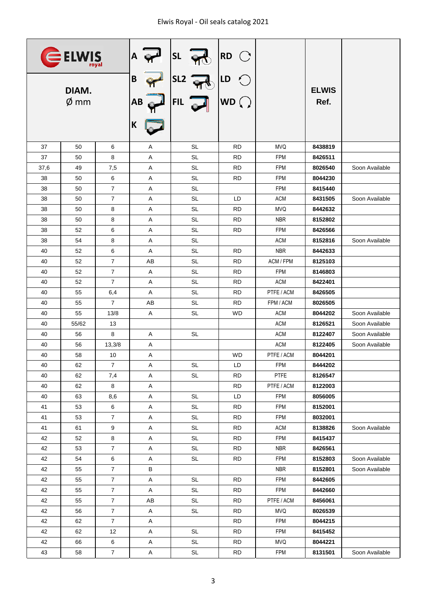| $\blacksquare$ ELWIS<br>royal |          |                |              | <b>SL</b>                     | <b>RD</b>       |                          |                      |                |
|-------------------------------|----------|----------------|--------------|-------------------------------|-----------------|--------------------------|----------------------|----------------|
| DIAM.<br>$\phi$ mm            |          |                | B<br>ΑВ<br>K | SL <sub>2</sub><br><b>FIL</b> | LD<br><b>WD</b> |                          | <b>ELWIS</b><br>Ref. |                |
| 37                            | 50       | 6              | Α            | <b>SL</b>                     | <b>RD</b>       | <b>MVQ</b>               | 8438819              |                |
| 37                            | 50       | 8              | Α            | <b>SL</b>                     | <b>RD</b>       | <b>FPM</b>               | 8426511              |                |
| 37,6                          | 49       | 7,5            | Α            | <b>SL</b>                     | <b>RD</b>       | <b>FPM</b>               | 8026540              | Soon Available |
| 38                            | 50       | 6              | A            | <b>SL</b>                     | <b>RD</b>       | <b>FPM</b>               | 8044230              |                |
| 38                            | 50       | 7              | Α            | <b>SL</b>                     |                 | <b>FPM</b>               | 8415440              |                |
| 38                            | 50       | $\overline{7}$ | Α            | <b>SL</b>                     | LD              | <b>ACM</b>               | 8431505              | Soon Available |
| 38                            | 50       | 8              | Α            | <b>SL</b>                     | <b>RD</b>       | <b>MVQ</b>               | 8442632              |                |
| 38                            | 50       | 8              | Α            | <b>SL</b>                     | <b>RD</b>       | <b>NBR</b>               | 8152802              |                |
| 38                            | 52       | 6              | A            | <b>SL</b>                     | <b>RD</b>       | <b>FPM</b>               | 8426566              |                |
| 38                            | 54       | 8              | Α            | <b>SL</b>                     |                 | <b>ACM</b>               | 8152816              | Soon Available |
| 40                            | 52       | 6              | Α            | <b>SL</b>                     | <b>RD</b>       | <b>NBR</b>               | 8442633              |                |
| 40                            | 52       | 7              | AB           | <b>SL</b>                     | <b>RD</b>       | ACM / FPM                | 8125103              |                |
| 40                            | 52       | 7              | Α            | <b>SL</b>                     | <b>RD</b>       | <b>FPM</b>               | 8146803              |                |
| 40                            | 52       | $\overline{7}$ | Α            | <b>SL</b>                     | <b>RD</b>       | <b>ACM</b>               | 8422401              |                |
| 40                            | 55       | 6,4            | Α            | <b>SL</b>                     | <b>RD</b>       | PTFE / ACM               | 8426505              |                |
| 40                            | 55       | $\overline{7}$ | AB           | <b>SL</b>                     | <b>RD</b>       | FPM / ACM                | 8026505              |                |
| 40                            | 55       | 13/8           | Α            | <b>SL</b>                     | <b>WD</b>       | <b>ACM</b>               | 8044202              | Soon Available |
| 40                            | 55/62    | 13             |              |                               |                 | <b>ACM</b>               | 8126521              | Soon Available |
| 40                            | 56       | 8              | Α            | <b>SL</b>                     |                 | <b>ACM</b>               | 8122407              | Soon Available |
| 40                            | 56       | 13,3/8         | Α            |                               |                 | <b>ACM</b>               | 8122405              | Soon Available |
| 40                            | 58       | 10             | Α            |                               | <b>WD</b>       | PTFE / ACM               | 8044201              |                |
| 40                            | 62       | $\overline{7}$ | A            | SL                            | LD              | <b>FPM</b>               | 8444202              |                |
| 40                            | 62       | 7,4            | A            | SL                            | <b>RD</b>       | PTFE                     | 8126547              |                |
| 40                            | 62<br>63 | 8              | A            | <b>SL</b>                     | <b>RD</b>       | PTFE / ACM<br><b>FPM</b> | 8122003              |                |
| 40<br>41                      | 53       | 8,6<br>6       | A<br>A       | <b>SL</b>                     | LD<br><b>RD</b> | <b>FPM</b>               | 8056005<br>8152001   |                |
| 41                            | 53       | $\overline{7}$ | A            | SL                            | <b>RD</b>       | <b>FPM</b>               | 8032001              |                |
| 41                            | 61       | 9              | A            | <b>SL</b>                     | <b>RD</b>       | ACM                      | 8138826              | Soon Available |
| 42                            | 52       | 8              | A            | SL                            | RD.             | <b>FPM</b>               | 8415437              |                |
| 42                            | 53       | $\overline{7}$ | A            | SL                            | <b>RD</b>       | <b>NBR</b>               | 8426561              |                |
| 42                            | 54       | 6              | A            | SL                            | <b>RD</b>       | <b>FPM</b>               | 8152803              | Soon Available |
| 42                            | 55       | $\overline{7}$ | B            |                               |                 | <b>NBR</b>               | 8152801              | Soon Available |
| 42                            | 55       | $\overline{7}$ | A            | <b>SL</b>                     | <b>RD</b>       | <b>FPM</b>               | 8442605              |                |
| 42                            | 55       | $\overline{7}$ | A            | SL                            | RD.             | <b>FPM</b>               | 8442660              |                |
| 42                            | 55       | $\overline{7}$ | AB           | <b>SL</b>                     | RD.             | PTFE / ACM               | 8456061              |                |
| 42                            | 56       | $\overline{7}$ | A            | SL                            | <b>RD</b>       | MVQ                      | 8026539              |                |
| 42                            | 62       | $\overline{7}$ | A            |                               | <b>RD</b>       | <b>FPM</b>               | 8044215              |                |
| 42                            | 62       | 12             | A            | SL                            | RD.             | <b>FPM</b>               | 8415452              |                |
| 42                            | 66       | 6              | A            | <b>SL</b>                     | <b>RD</b>       | MVQ                      | 8044221              |                |
| 43                            | 58       | $\overline{7}$ | $\mathsf{A}$ | SL                            | RD              | <b>FPM</b>               | 8131501              | Soon Available |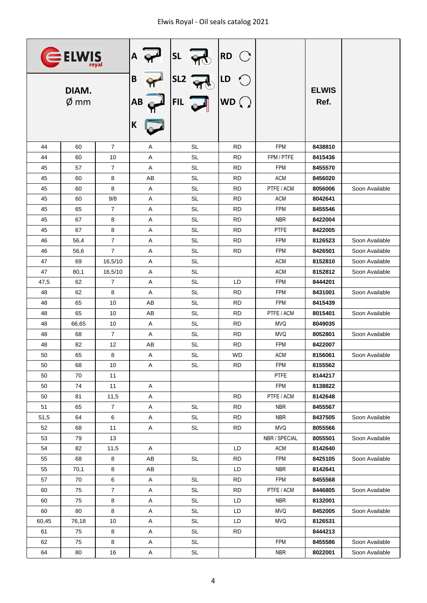| <b>ELWIS</b>       |       |                |              | <b>SL</b>                     | <b>RD</b>       |               |                      |                |
|--------------------|-------|----------------|--------------|-------------------------------|-----------------|---------------|----------------------|----------------|
| DIAM.<br>$\phi$ mm |       |                | B<br>ΑВ<br>K | SL <sub>2</sub><br><b>FIL</b> | LD<br><b>WD</b> |               | <b>ELWIS</b><br>Ref. |                |
| 44                 | 60    | $\overline{7}$ | Α            | <b>SL</b>                     | <b>RD</b>       | <b>FPM</b>    | 8438810              |                |
| 44                 | 60    | 10             | Α            | <b>SL</b>                     | <b>RD</b>       | FPM / PTFE    | 8415436              |                |
| 45                 | 57    | $\overline{7}$ | Α            | <b>SL</b>                     | <b>RD</b>       | <b>FPM</b>    | 8455570              |                |
| 45                 | 60    | 8              | AB           | <b>SL</b>                     | <b>RD</b>       | <b>ACM</b>    | 8456020              |                |
| 45                 | 60    | 8              | Α            | <b>SL</b>                     | <b>RD</b>       | PTFE / ACM    | 8056006              | Soon Available |
| 45                 | 60    | 9/8            | Α            | <b>SL</b>                     | <b>RD</b>       | <b>ACM</b>    | 8042641              |                |
| 45                 | 65    | 7              | Α            | <b>SL</b>                     | <b>RD</b>       | <b>FPM</b>    | 8455546              |                |
| 45                 | 67    | 8              | Α            | <b>SL</b>                     | <b>RD</b>       | <b>NBR</b>    | 8422004              |                |
| 45                 | 67    | 8              | Α            | <b>SL</b>                     | <b>RD</b>       | <b>PTFE</b>   | 8422005              |                |
| 46                 | 56,4  | $\overline{7}$ | Α            | <b>SL</b>                     | <b>RD</b>       | <b>FPM</b>    | 8126523              | Soon Available |
| 46                 | 56,6  | 7              | A            | <b>SL</b>                     | <b>RD</b>       | <b>FPM</b>    | 8426501              | Soon Available |
| 47                 | 69    | 16,5/10        | Α            | <b>SL</b>                     |                 | <b>ACM</b>    | 8152810              | Soon Available |
| 47                 | 80,1  | 16,5/10        | Α            | <b>SL</b>                     |                 | <b>ACM</b>    | 8152812              | Soon Available |
| 47,5               | 62    | 7              | Α            | <b>SL</b>                     | LD              | <b>FPM</b>    | 8444201              |                |
| 48                 | 62    | 8              | Α            | <b>SL</b>                     | <b>RD</b>       | <b>FPM</b>    | 8431001              | Soon Available |
| 48                 | 65    | 10             | AB           | <b>SL</b>                     | <b>RD</b>       | <b>FPM</b>    | 8415439              |                |
| 48                 | 65    | 10             | AB           | <b>SL</b>                     | <b>RD</b>       | PTFE / ACM    | 8015401              | Soon Available |
| 48                 | 66,65 | 10             | Α            | <b>SL</b>                     | <b>RD</b>       | <b>MVQ</b>    | 8049035              |                |
| 48                 | 68    | 7              | Α            | <b>SL</b>                     | <b>RD</b>       | <b>MVQ</b>    | 8052801              | Soon Available |
| 48                 | 82    | 12             | AB           | <b>SL</b>                     | <b>RD</b>       | <b>FPM</b>    | 8422007              |                |
| 50                 | 65    | 8              | Α            | <b>SL</b>                     | <b>WD</b>       | ACM           | 8156061              | Soon Available |
| 50                 | 68    | 10             | A            | <b>SL</b>                     | RD.             | FPM           | 8155562              |                |
| 50                 | 70    | 11             |              |                               |                 | PTFE          | 8144217              |                |
| 50                 | 74    | 11             | A            |                               |                 | <b>FPM</b>    | 8138822              |                |
| 50                 | 81    | 11,5           | A            |                               | <b>RD</b>       | PTFE / ACM    | 8142648              |                |
| 51                 | 65    | $\overline{7}$ | A            | <b>SL</b>                     | <b>RD</b>       | <b>NBR</b>    | 8455567              |                |
| 51,5               | 64    | 6              | A            | SL                            | <b>RD</b>       | <b>NBR</b>    | 8437505              | Soon Available |
| 52                 | 68    | 11             | A            | SL                            | <b>RD</b>       | MVQ           | 8055566              |                |
| 53                 | 79    | 13             |              |                               |                 | NBR / SPECIAL | 8055501              | Soon Available |
| 54                 | 82    | 11,5           | A            |                               | LD              | <b>ACM</b>    | 8142640              |                |
| 55                 | 68    | 8              | AB           | SL                            | <b>RD</b>       | <b>FPM</b>    | 8425105              | Soon Available |
| 55                 | 70,1  | 8              | AB           |                               | LD              | <b>NBR</b>    | 8142641              |                |
| 57                 | 70    | 6              | A            | <b>SL</b>                     | <b>RD</b>       | <b>FPM</b>    | 8455568              |                |
| 60                 | 75    | $\overline{7}$ | A            | <b>SL</b>                     | <b>RD</b>       | PTFE / ACM    | 8446805              | Soon Available |
| 60                 | 75    | 8              | Α            | <b>SL</b>                     | LD              | <b>NBR</b>    | 8132001              |                |
| 60                 | 80    | 8              | A            | SL                            | LD              | MVQ           | 8452005              | Soon Available |
| 60,45              | 76,18 | 10             | A            | <b>SL</b>                     | LD              | MVQ           | 8126531              |                |
| 61                 | 75    | 8              | A            | <b>SL</b>                     | <b>RD</b>       |               | 8444213              |                |
| 62                 | 75    | 8              | A            | <b>SL</b>                     |                 | <b>FPM</b>    | 8455586              | Soon Available |
| 64                 | 80    | $16\,$         | A            | SL                            |                 | <b>NBR</b>    | 8022001              | Soon Available |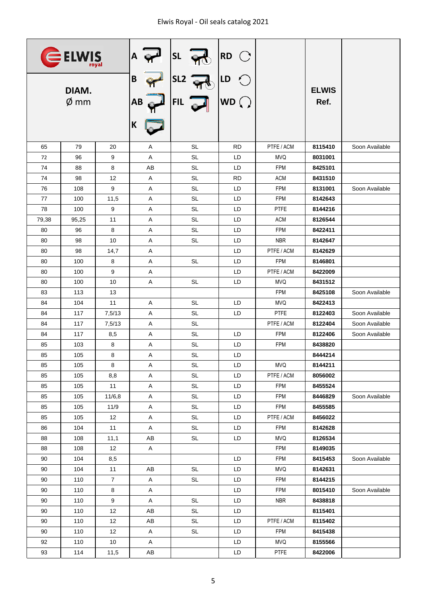| $\blacksquare$ ELWIS<br>royal |                    |                  |              | <b>SL</b>                     | <b>RD</b>       |             |                      |                |
|-------------------------------|--------------------|------------------|--------------|-------------------------------|-----------------|-------------|----------------------|----------------|
|                               | DIAM.<br>$\phi$ mm |                  | B<br>ΑВ<br>K | SL <sub>2</sub><br><b>FIL</b> | LD<br><b>WD</b> |             | <b>ELWIS</b><br>Ref. |                |
| 65                            | 79                 | 20               | Α            | <b>SL</b>                     | <b>RD</b>       | PTFE / ACM  | 8115410              | Soon Available |
| 72                            | 96                 | 9                | Α            | <b>SL</b>                     | LD              | <b>MVQ</b>  | 8031001              |                |
| 74                            | 88                 | 8                | AB           | <b>SL</b>                     | LD              | <b>FPM</b>  | 8425101              |                |
| 74                            | 98                 | 12               | A            | <b>SL</b>                     | <b>RD</b>       | <b>ACM</b>  | 8431510              |                |
| 76                            | 108                | 9                | Α            | <b>SL</b>                     | LD              | <b>FPM</b>  | 8131001              | Soon Available |
| 77                            | 100                | 11,5             | Α            | <b>SL</b>                     | LD              | <b>FPM</b>  | 8142643              |                |
| 78                            | 100                | 9                | Α            | <b>SL</b>                     | LD              | <b>PTFE</b> | 8144216              |                |
| 79,38                         | 95,25              | 11               | Α            | <b>SL</b>                     | LD              | <b>ACM</b>  | 8126544              |                |
| 80                            | 96                 | 8                | A            | <b>SL</b>                     | LD              | <b>FPM</b>  | 8422411              |                |
| 80                            | 98                 | 10               | Α            | <b>SL</b>                     | LD              | <b>NBR</b>  | 8142647              |                |
| 80                            | 98                 | 14,7             | Α            |                               | LD              | PTFE / ACM  | 8142629              |                |
| 80                            | 100                | 8                | Α            | <b>SL</b>                     | LD              | <b>FPM</b>  | 8146801              |                |
| 80                            | 100                | 9                | Α            |                               | LD              | PTFE / ACM  | 8422009              |                |
| 80                            | 100                | 10               | Α            | <b>SL</b>                     | LD              | <b>MVQ</b>  | 8431512              |                |
| 83                            | 113                | 13               |              |                               |                 | <b>FPM</b>  | 8425108              | Soon Available |
| 84                            | 104                | 11               | Α            | <b>SL</b>                     | LD              | <b>MVQ</b>  | 8422413              |                |
| 84                            | 117                | 7,5/13           | Α            | <b>SL</b>                     | LD              | <b>PTFE</b> | 8122403              | Soon Available |
| 84                            | 117                | 7,5/13           | Α            | <b>SL</b>                     |                 | PTFE / ACM  | 8122404              | Soon Available |
| 84                            | 117                | 8,5              | Α            | <b>SL</b>                     | LD              | <b>FPM</b>  | 8122406              | Soon Available |
| 85                            | 103                | 8                | Α            | <b>SL</b>                     | LD              | <b>FPM</b>  | 8438820              |                |
| 85                            | 105                | 8                | Α            | <b>SL</b>                     | LD              |             | 8444214              |                |
| 85                            | 105                | 8                | A            | SL                            | LD              | MVQ         | 8144211              |                |
| 85                            | 105                | 8,8              | A            | SL                            | LD              | PTFE / ACM  | 8056002              |                |
| 85                            | 105                | 11               | A            | SL                            | LD              | <b>FPM</b>  | 8455524              |                |
| 85                            | 105                | 11/6,8           | A            | <b>SL</b>                     | LD              | <b>FPM</b>  | 8446829              | Soon Available |
| 85                            | 105                | 11/9             | A            | SL                            | LD              | <b>FPM</b>  | 8455585              |                |
| 85                            | 105                | 12               | A            | SL                            | LD              | PTFE / ACM  | 8456022              |                |
| 86                            | 104                | 11               | A            | <b>SL</b>                     | LD              | <b>FPM</b>  | 8142628              |                |
| 88                            | 108                | 11,1             | AB           | SL                            | LD              | <b>MVQ</b>  | 8126534              |                |
| 88                            | 108                | 12               | $\mathsf{A}$ |                               |                 | <b>FPM</b>  | 8149035              |                |
| 90                            | 104                | 8,5              |              |                               | LD              | FPM         | 8415453              | Soon Available |
| 90                            | 104                | 11               | AB           | <b>SL</b>                     | LD              | <b>MVQ</b>  | 8142631              |                |
| 90                            | 110                | $\overline{7}$   | A            | SL                            | LD              | <b>FPM</b>  | 8144215              |                |
| 90                            | 110                | 8                | A            |                               | LD              | <b>FPM</b>  | 8015410              | Soon Available |
| 90                            | 110                | $\boldsymbol{9}$ | A            | <b>SL</b>                     | LD              | <b>NBR</b>  | 8438818              |                |
| 90                            | 110                | 12               | AB           | SL                            | LD              |             | 8115401              |                |
| 90                            | 110                | 12               | AB           | <b>SL</b>                     | LD              | PTFE / ACM  | 8115402              |                |
| 90                            | 110                | 12               | A            | SL                            | LD              | <b>FPM</b>  | 8415438              |                |
| 92                            | 110                | 10 <sup>1</sup>  | A            |                               | LD              | MVQ         | 8155566              |                |
| 93                            | 114                | 11,5             | AB           |                               | LD              | PTFE        | 8422006              |                |